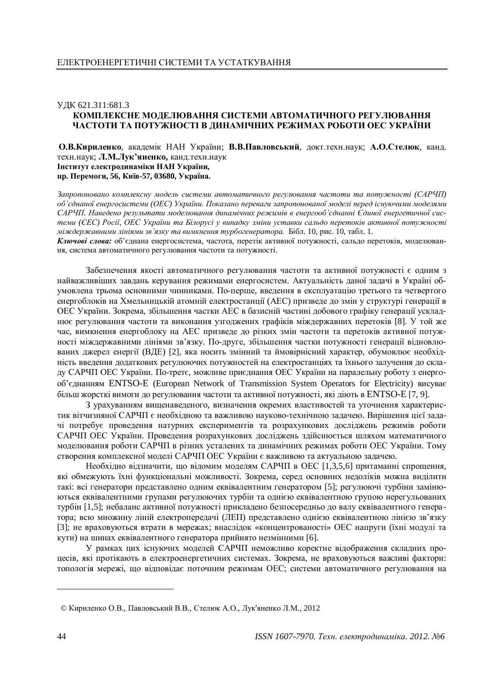## ɍȾɄ 621.311:681.3 КОМПЛЕКСНЕ МОДЕЛЮВАННЯ СИСТЕМИ АВТОМАТИЧНОГО РЕГУЛЮВАННЯ ЧАСТОТИ ТА ПОТУЖНОСТІ В ДИНАМІЧНИХ РЕЖИМАХ РОБОТИ ОЕС УКРАЇНИ

О.В.Кириленко, академік НАН України; В.В.Павловський, докт.техн.наук; А.О.Стелюк, канд. техн.наук; **Л.М.Лук'яненко**, канд.техн.наук  **Інститут електродинаміки НАН України,** пр. Перемоги, 56, Київ-57, 03680, Україна.

Запропоновано комплексну модель системи автоматичного регулювання частоти та потужності (САРЧП)  $66$ 'єднаної енергосистеми (ОЕС) України. Показано переваги запропонованої моделі перед існуючими моделями САРЧП. Наведено результати моделювання динамічних режимів в енергооб'єднанні Єдиної енергетичної сис $m$ еми (ЄЕС) Росії, ОЕС України та Білорусі у випадку зміни уставки сальдо перетоків активної потужності *міждержавними лініями зв'язку та вимкнення турбогенератора*. Бібл. 10, рис. 10, табл. 1.

Ключові слова: об'єднана енергосистема, частота, перетік активної потужності, сальдо перетоків, моделювання, система автоматичного регулювання частоти та потужності.

Забезпечення якості автоматичного регулювання частоти та активної потужності є одним з найважливіших завдань керування режимами енергосистем. Актуальність даної задачі в Україні обумовлена трьома основними чинниками. По-перше, введення в експлуатацію третього та четвертого енергоблоків на Хмельницькій атомній електростанції (АЕС) призведе до змін у структурі генерації в ОЕС України. Зокрема, збільшення частки АЕС в базисній частині добового графіку генерації ускладнює регулювання частоти та виконання узгоджених графіків міждержавних перетоків [8]. У той же час, вимкнення енергоблоку на АЕС призведе до різких змін частоти та перетоків активної потужності міждержавними лініями зв'язку. По-друге, збільшення частки потужності генерації відновлюваних джерел енергії (ВДЕ) [2], яка носить змінний та ймовірнісний характер, обумовлює необхідність введення додаткових регулюючих потужностей на електростанціях та їхнього залучення до складу САРЧП ОЕС України. По-третє, можливе приєднання ОЕС України на паралельну роботу з енергооб'єднанням ENTSO-E (European Network of Transmission System Operators for Electricity) висуває більш жорсткі вимоги ло регулювання частоти та активної потужності, які ліють в ENTSO-E [7, 9].

З урахуванням вищенаведеного, визначення окремих властивостей та уточнення характеристик вітчизняної САРЧП є необхілною та важливою науково-технічною залачею. Вирішення пієї залачі потребує проведення натурних експериментів та розрахункових досліджень режимів роботи САРЧП ОЕС України. Проведення розрахункових досліджень здійснюється шляхом математичного моделювання роботи САРЧП в різних усталених та динамічних режимах роботи ОЕС України. Тому створення комплексної моделі САРЧП ОЕС України є важливою та актуальною задачею.

Необхідно відзначити, що відомим моделям САРЧП в ОЕС [1,3,5,6] притаманні спрощення, які обмежують їхні функціональні можливості. Зокрема, серед основних недоліків можна виділити такі: всі генератори представлено одним еквівалентним генератором [5]; регулюючі турбіни замінюються еквівалентними групами регулюючих турбін та однією еквівалентною групою нерегульованих турбін [1,5]; небаланс активної потужності прикладено безпосередньо до валу еквівалентного генератора; всю множину ліній електропередачі (ЛЕП) представлено однією еквівалентною лінією зв'язку [3]; не враховуються втрати в мережах; внаслідок «концентрованості» ОЕС напруги (їхні модулі та кути) на шинах еквівалентного генератора прийнято незмінними [6].

У рамках цих існуючих моделей САРЧП неможливо коректне відображення складних процесів, які протікають в електроенергетичних системах. Зокрема, не враховуються важливі фактори: топологія мережі, що відповідає поточним режимам ОЕС; системи автоматичного регулювання на

<sup>©</sup> Кириленко О.В., Павловський В.В., Стелюк А.О., Лук'яненко Л.М., 2012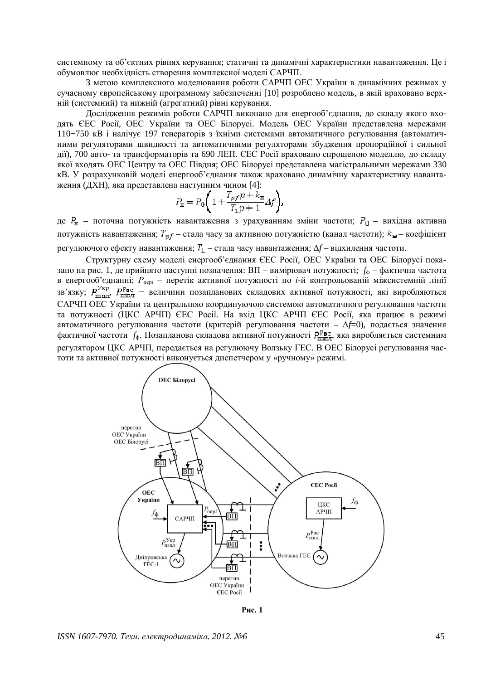системному та об'єктних рівнях керування; статичні та динамічні характеристики навантаження. Це і обумовлює необхідність створення комплексної моделі САРЧП.

З метою комплексного моделювання роботи САРЧП ОЕС України в динамічних режимах у сучасному європейському програмному забезпеченні [10] розроблено модель, в якій враховано верхній (системний) та нижній (агрегатний) рівні керування.

Дослідження режимів роботи САРЧП виконано для енергооб'єднання, до складу якого входять ЄЕС Росії, ОЕС України та ОЕС Білорусі. Модель ОЕС України представлена мережами  $110-750$  кВ і налічує 197 генераторів з їхніми системами автоматичного регулювання (автоматичними регуляторами швидкості та автоматичними регуляторами збудження пропорційної і сильної дії), 700 авто- та трансформаторів та 690 ЛЕП. ЄЕС Росії враховано спрощеною моделлю, до складу якої входять ОЕС Центру та ОЕС Півдня; ОЕС Білорусі представлена магістральними мережами 330 кВ. У розрахунковій моделі енергооб'єднання також враховано динамічну характеристику навантаження (ДХН), яка представлена наступним чином [4]:

$$
P_{\mathbf{H}} = P_0 \Bigg( 1 + \frac{T_{pf} p + k_{\mathbf{H}}}{T_1 p + 1} \varDelta f \Bigg).
$$

де  $P_{\rm x}$  – поточна потужність навантаження з урахуванням зміни частоти;  $P_{\rm u}$  – вихідна активна потужність навантаження;  $T_{\nu f}$  – стала часу за активною потужністю (канал частоти);  $k_{\mathbf{H}}$  – коефіцієнт регулюючого ефекту навантаження;  $T_1$  – стала часу навантаження;  $\Delta f$  – відхилення частоти.

Структурну схему моделі енергооб'єднання ЄЕС Росії, ОЕС України та ОЕС Білорусі показано на рис. 1, де прийнято наступні позначення: ВП – вимірювач потужності;  $f_{\phi}$  – фактична частота в енергооб'єднанні;  $P_{\text{nepi}}$  – перетік активної потужності по *і*-й контрольованій міжсистемній лінії  $\sigma$  скертосо однашн, такие первых антивного потумности не та контрольствании интентивной заку;  $P_{\text{I\!E\!I\!I\!I\!I}}^{\text{Vkp}}$ ,  $P_{\text{I\!E\!I\!I\!I\!I}}^{\text{Pocl}}$  – величини позапланових складових активної потужності, які САРЧП ОЕС України та центральною координуючою системою автоматичного регулювання частоти та потужності (ЩКС АРЧП) ЄЕС Росії. На вхіл ЦКС АРЧП ЄЕС Росії, яка працює в режимі автоматичного регулювання частоти (критерій регулювання частоти –  $\Delta f=0$ ), подається значення фактичної частоти f<sub>ф</sub>. Позапланова складова активної потужності Р<sup>р</sup>ье, яка виробляється системним регулятором ЦКС АРЧП, передається на регулюючу Волзьку ГЕС. В ОЕС Білорусі регулювання частоти та активної потужності виконується диспетчером у «ручному» режимі.



**Puc. 1** 

*ISSN 1607-7970. Техн. електродинаміка. 2012. №6* 45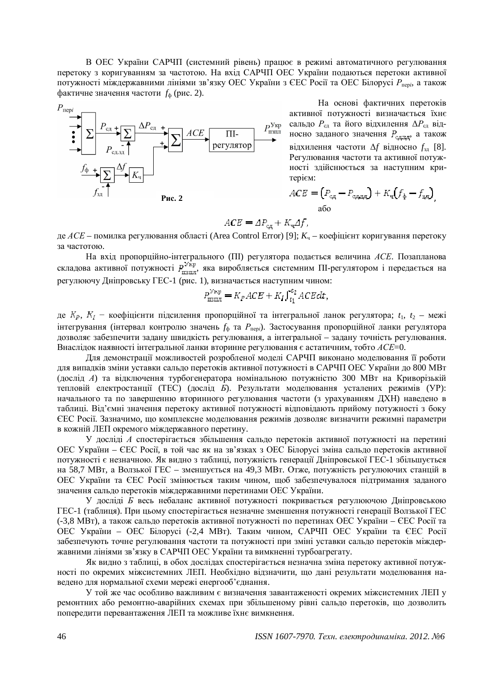В ОЕС України САРЧП (системний рівень) працює в режимі автоматичного регулювання перетоку з коригуванням за частотою. На вхід САРЧП ОЕС України подаються перетоки активної потужності міждержавними лініями зв'язку ОЕС України з ЄЕС Росії та ОЕС Білорусі Р<sub>пері</sub>, а також фактичне значення частоти  $f_{\phi}$  (рис. 2).



На основі фактичних перетоків активної потужності визначається їхнє сальдо  $P_{cA}$  та його відхилення  $\Delta P_{cA}$  відносно заданого значення  $P_{c,A,B,A}$  а також вілхилення частоти  $\Delta f$  вілносно  $f_{2\pi}$  [8]. Регулювання частоти та активної потужності злійснюється за наступним критерієм:

$$
ACE = (P_{c\mu} - P_{c\mu,3\mu}) + K_{\rm q}(f_{\frac{1}{2}} - f_{3\mu})
$$
  
afo

$$
ACE = AP_{\rm cr} + K_{\rm cr} \Delta f,
$$

де *ACE* – помилка регулювання області (Area Control Error) [9]; *K*<sub>ч</sub> – коефіцієнт коригування перетоку за частотою.

На вхід пропорційно-інтегрального (ПІ) регулятора подається величина АСЕ. Позапланова складова активної потужності  $P_{\text{max}}^{\text{Vkp}}$ , яка виробляється системним ПІ-регулятором і передається на регулюючу Дніпровську ГЕС-1 (рис. 1), визначається наступним чином:

$$
P_{\text{ISIM}}^{\text{V}_{\text{KPI}}} = K_{P}ACE + K_{I} \int_{t_{1}}^{t_{2}} ACEdt,
$$

де К<sub>Р</sub>, К<sub>1</sub> – коефіцієнти підсилення пропорційної та інтегральної ланок регулятора; t<sub>1</sub>, t<sub>2</sub> – межі інтегрування (інтервал контролю значень  $f_{\phi}$  та  $P_{\text{nepi}}$ ). Застосування пропорційної ланки регулятора дозволяє забезпечити задану швидкість регулювання, а інтегральної – задану точність регулювання. Внаслідок наявності інтегральної ланки вторинне регулювання є астатичним, тобто ACE=0.

Для демонстрації можливостей розробленої моделі САРЧП виконано моделювання її роботи для випадків зміни уставки сальдо перетоків активної потужності в САРЧП ОЕС України до 800 МВт (дослід *А*) та відключення турбогенератора номінальною потужністю 300 МВт на Криворізькій тепловій електростанції (ТЕС) (дослід *Б*). Результати моделювання усталених режимів (УР): начального та по завершенню вторинного регулювання частоти (з урахуванням ДХН) наведено в таблиці. Від'ємні значення перетоку активної потужності відповідають прийому потужності з боку ЄЕС Росії. Зазначимо, що комплексне моделювання режимів дозволяє визначити режимні параметри в кожній ЛЕП окремого міждержавного перетину.

У досліді А спостерігається збільшення сальдо перетоків активної потужності на перетині ОЕС України – ЄЕС Росії, в той час як на зв'язках з ОЕС Білорусі зміна сальдо перетоків активної потужності є незначною. Як видно з таблиці, потужність генерації Дніпровської ГЕС-1 збільшується на 58,7 МВт, а Волзької ГЕС – зменшується на 49,3 МВт. Отже, потужність регулюючих станцій в ОЕС України та ЄЕС Росії змінюється таким чином, щоб забезпечувалося підтримання заданого значення сальдо перетоків міждержавними перетинами ОЕС України.

У лослілі Б весь небаланс активної потужності покривається регулюючою Лніпровською ГЕС-1 (таблиця). При цьому спостерігається незначне зменшення потужності генерації Волзької ГЕС (-3.8 МВт), а також сальдо перетоків активної потужності по перетинах ОЕС України – ЄЕС Росії та ОЕС України – ОЕС Білорусі (-2,4 МВт). Таким чином, САРЧП ОЕС України та ЄЕС Росії забезпечують точне регулювання частоти та потужності при зміні уставки сальдо перетоків міждержавними лініями зв'язку в САРЧП ОЕС України та вимкненні турбоагрегату.

Як вилно з таблиці, в обох лослілах спостерігається незначна зміна перетоку активної потужності по окремих міжсистемних ЛЕП. Необхідно відзначити, що дані результати моделювання навелено для нормальної схеми мережі енергооб'єднання.

У той же час особливо важливим є визначення завантаженості окремих міжсистемних ЛЕП у ремонтних або ремонтно-аварійних схемах при збільшеному рівні сальдо перетоків, що дозволить попередити перевантаження ЛЕП та можливе їхнє вимкнення.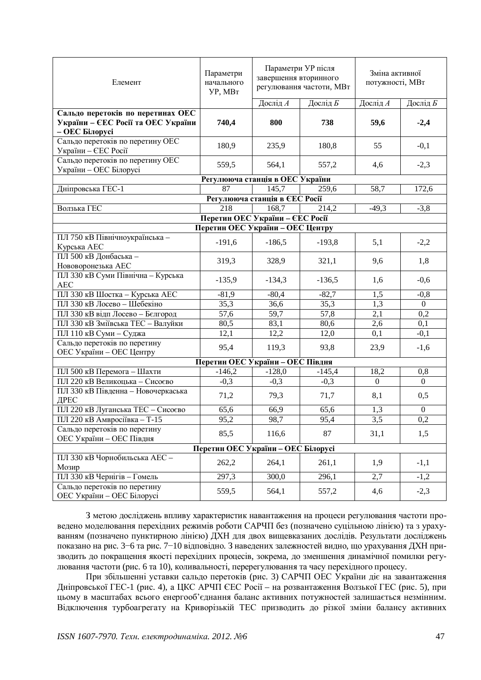| Елемент                                                    | Параметри<br>начального<br>УР, MBт | Параметри УР після<br>завершення вторинного<br>регулювання частоти, МВт |          | Зміна активної<br>потужності, МВт |                  |
|------------------------------------------------------------|------------------------------------|-------------------------------------------------------------------------|----------|-----------------------------------|------------------|
|                                                            |                                    | Дослід А                                                                | Дослід Б | Дослід А                          | Дослід Б         |
| Сальдо перетоків по перетинах ОЕС                          |                                    |                                                                         |          |                                   |                  |
| України – ЄЕС Росії та ОЕС України                         | 740,4                              | 800                                                                     | 738      | 59,6                              | $-2,4$           |
| – ОЕС Білорусі                                             |                                    |                                                                         |          |                                   |                  |
| Сальдо перетоків по перетину ОЕС<br>України – ЄЕС Росії    | 180,9                              | 235,9                                                                   | 180,8    | 55                                | $-0,1$           |
| Сальдо перетоків по перетину ОЕС<br>України - ОЕС Білорусі | 559,5                              | 564,1                                                                   | 557,2    | 4,6                               | $-2,3$           |
|                                                            | Регулююча станція в ОЕС України    |                                                                         |          |                                   |                  |
| Дніпровська ГЕС-1                                          | 87                                 | 145,7                                                                   | 259,6    | 58,7                              | 172,6            |
|                                                            |                                    | Регулююча станція в ЄЕС Росії                                           |          |                                   |                  |
| Волзька ГЕС                                                | 218                                | 168,7                                                                   | 214,2    | $-49,3$                           | $-3,8$           |
| Перетин ОЕС України – ЄЕС Росії                            |                                    |                                                                         |          |                                   |                  |
| Перетин ОЕС України – ОЕС Центру                           |                                    |                                                                         |          |                                   |                  |
| ПЛ 750 кВ Північноукраїнська -<br>Курська АЕС              | $-191,6$                           | $-186,5$                                                                | $-193,8$ | 5,1                               | $-2,2$           |
| ПЛ 500 кВ Донбаська -<br>Нововоронезька АЕС                | 319,3                              | 328,9                                                                   | 321,1    | 9,6                               | 1,8              |
| ПЛ 330 кВ Суми Північна - Курська<br><b>AEC</b>            | $-135,9$                           | $-134,3$                                                                | $-136,5$ | 1,6                               | $-0,6$           |
| ПЛ 330 кВ Шостка - Курська АЕС                             | $-81,9$                            | $-80,4$                                                                 | $-82,7$  | 1,5                               | $-0,8$           |
| ПЛ 330 кВ Лосево - Шебекіно                                | 35,3                               | 36,6                                                                    | 35,3     | 1,3                               | $\mathbf{0}$     |
| ПЛ 330 кВ відп Лосево - Бєлгород                           | 57,6                               | 59,7                                                                    | 57,8     | 2,1                               | 0,2              |
| ПЛ 330 кВ Зміївська ТЕС - Валуйки                          | 80,5                               | 83,1                                                                    | 80,6     | 2,6                               | 0,1              |
| ПЛ 110 кВ Суми - Суджа                                     | 12,1                               | 12,2                                                                    | 12,0     | 0,1                               | $-0,1$           |
| Сальдо перетоків по перетину<br>ОЕС України - ОЕС Центру   | 95,4                               | 119,3                                                                   | 93,8     | 23,9                              | $-1,6$           |
| Перетин ОЕС України - ОЕС Півдня                           |                                    |                                                                         |          |                                   |                  |
| ПЛ 500 кВ Перемога - Шахти                                 | $-146,2$                           | $-128,0$                                                                | $-145,4$ | 18,2                              | 0,8              |
| ПЛ 220 кВ Великоцька - Сисоєво                             | $-0,3$                             | $-0,3$                                                                  | $-0,3$   | $\mathbf{0}$                      | $\overline{0}$   |
| ПЛ 330 кВ Південна - Новочеркаська<br>ДРЕС                 | 71,2                               | 79,3                                                                    | 71,7     | 8,1                               | 0,5              |
| ПЛ 220 кВ Луганська ТЕС - Сисоєво                          | 65,6                               | 66,9                                                                    | 65,6     | 1,3                               | $\boldsymbol{0}$ |
| ПЛ 220 кВ Амвросіївка - Т-15                               | 95,2                               | 98,7                                                                    | 95,4     | 3,5                               | 0,2              |
| Сальдо перетоків по перетину<br>ОЕС України - ОЕС Півдня   | 85,5                               | 116,6                                                                   | 87       | 31,1                              | 1,5              |
| Перетин ОЕС України - ОЕС Білорусі                         |                                    |                                                                         |          |                                   |                  |
| ПЛ 330 кВ Чорнобильська АЕС -                              |                                    |                                                                         |          |                                   |                  |
| Мозир                                                      | 262,2                              | 264,1                                                                   | 261,1    | 1,9                               | $-1,1$           |
| ПЛ 330 кВ Чернігів - Гомель                                | 297,3                              | 300,0                                                                   | 296,1    | 2,7                               | $-1,2$           |
| Сальдо перетоків по перетину<br>ОЕС України - ОЕС Білорусі | 559,5                              | 564,1                                                                   | 557,2    | 4,6                               | $-2,3$           |

З метою досліджень впливу характеристик навантаження на процеси регулювання частоти проведено моделювання перехідних режимів роботи САРЧП без (позначено суцільною лінією) та з урахуванням (позначено пунктирною лінією) ДХН для двох вищевказаних дослідів. Результати досліджень показано на рис. 3–6 та рис. 7–10 відповідно. З наведених залежностей видно, що урахування ДХН призводить до покращення якості перехідних процесів, зокрема, до зменшення динамічної помилки регулювання частоти (рис. 6 та 10), коливальності, перерегулювання та часу перехідного процесу.

При збільшенні уставки сальдо перетоків (рис. 3) САРЧП ОЕС України діє на завантаження Дніпровської ГЕС-1 (рис. 4), а ЦКС АРЧП ЄЕС Росії – на розвантаження Волзької ГЕС (рис. 5), при цьому в масштабах всього енергооб'єднання баланс активних потужностей залишається незмінним. Відключення турбоагрегату на Криворізькій ТЕС призводить до різкої зміни балансу активних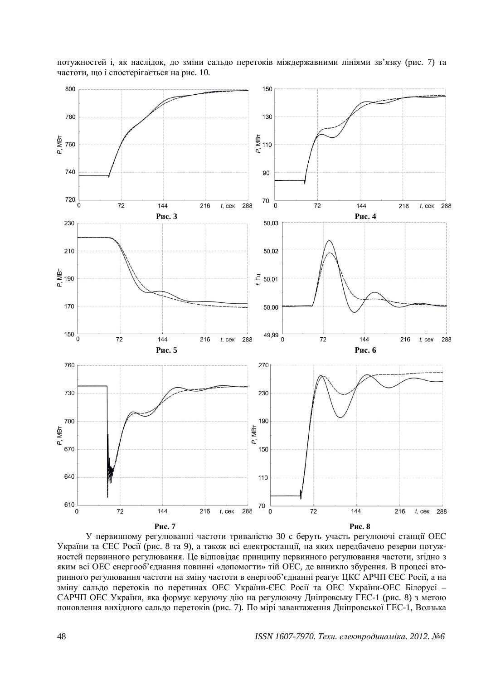

потужностей i, як наслідок, до зміни сальдо перетоків міждержавними лініями зв'язку (рис. 7) та частоти, що і спостерігається на рис. 10.

У первинному регулюванні частоти тривалістю 30 с беруть участь регулюючі станції ОЕС України та ЄЕС Росії (рис. 8 та 9), а також всі електростанції, на яких передбачено резерви потужностей первинного регулювання. Це відповідає принципу первинного регулювання частоти, згідно з яким всі ОЕС енергооб'єднання повинні «допомогти» тій ОЕС, де виникло збурення. В процесі вторинного регулювання частоти на зміну частоти в енергооб'єднанні реагує ЦКС АРЧП ЄЕС Росії, а на зміну сальдо перетоків по перетинах ОЕС України-ЄЕС Росії та ОЕС України-ОЕС Білорусі -САРЧП ОЕС України, яка формує керуючу дію на регулюючу Дніпровську ГЕС-1 (рис. 8) з метою поновлення вихідного сальдо перетоків (рис. 7). По мірі завантаження Дніпровської ГЕС-1, Волзька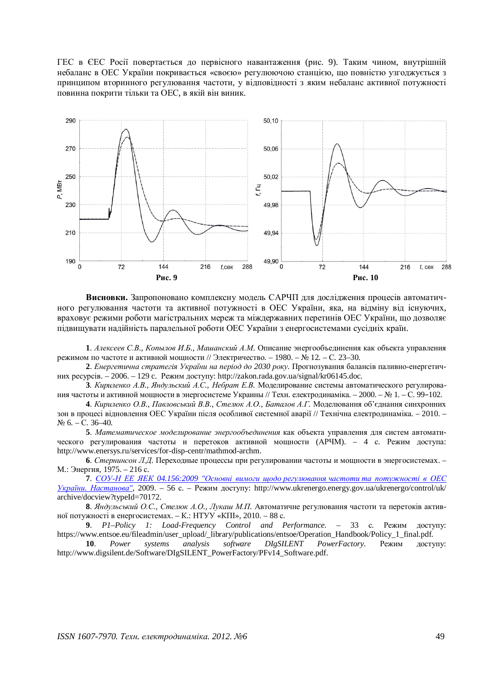ГЕС в ЄЕС Росії повертається до первісного навантаження (рис. 9). Таким чином, внутрішній небаланс в ОЕС України покривається «своєю» регулюючою станцією, що повністю узгоджується з принципом вторинного регулювання частоти, у відповідності з яким небаланс активної потужності повинна покрити тільки та ОЕС, в якій він виник.



Висновки. Запропоновано комплексну модель САРЧП для дослідження процесів автоматичного регулювання частоти та активної потужності в ОЕС України, яка, на відміну від існуючих, враховує режими роботи магістральних мереж та міждержавних перетинів ОЕС України, що дозволяє підвищувати надійність паралельної роботи ОЕС України з енергосистемами сусідніх країн.

**1**. Алексеев С.В., Копылов И.Б., Машанский А.М. Описание энергообъединения как объекта управления режимом по частоте и активной мощности // Электричество. – 1980. – № 12. – С. 23–30.

2. *Енергетична стратегія України на період до 2030 року*. Прогнозування балансів паливно-енергетичних ресурсів. – 2006. – 129 с. Режим доступу: <http://zakon.rada.gov.ua/signal/kr06145.doc.>

**3**. Кириленко А.В., Яндульский А.С., Небрат Е.В. Моделирование системы автоматического регулирования частоты и активной мощности в энергосистеме Украины // Техн. електродинаміка. – 2000. – № 1. – С. 99–102.

4. Кириленко О.В., Павловський В.В., Стелюк А.О., Баталов А.Г. Моделювання об'єднання синхронних зон в процесі відновлення ОЕС України після особливої системної аварії // Технічна електродинаміка. – 2010. –  $N<sub>2</sub>$  6. – C. 36–40.

5. Математическое моделирование энергообъединения как объекта управления для систем автоматического регулирования частоты и перетоков активной мощности (АРЧМ). – 4 с. Режим доступа: <http://www.enersys.ru/services/for-disp-centr/mathmod-archm.>

**6**. *Стернинсон Л.Д*. Переходные процессы при регулировании частоты и мощности в энергосистемах. – М.: Энергия, 1975. – 216 с.

**7.** *СОУ-Н ЕЕ ЯЕК 04.156:2009 "Основні вимоги шодо регулювання частоти та потужності в ОЕС України. Настанова"*, 2009. – 56 с. – Режим доступу: <http://www.ukrenergo.energy.gov.ua/ukrenergo/control/uk/> archive/docview?typeId=70172.

8. Яндульський О.С., Стелюк А.О., Лукаш М.П. Автоматичне регулювання частоти та перетоків активної потужності в енергосистемах. – К.: НТУУ «КПІ», 2010. – 88 с.

**9**. *P1–Policy 1: Load-Frequency Control and Performance.* – 33 с. Режим доступу: [https://www.entsoe.eu/fileadmin/user\\_upload/\\_library/publications/entsoe/Operation\\_Handbook/Policy\\_1\\_final.pdf.](https://www.entsoe.eu/fileadmin/user_upload/_library/publications/entsoe/Operation_Handbook/Policy_1_final.pdf.)

**10**. *Power systems analysis software DIgSILENT PowerFactory*. Pexum *noctyny*: [http://www.digsilent.de/Software/DIgSILENT\\_PowerFactory/PFv14\\_Software.pdf.](http://www.digsilent.de/Software/DIgSILENT_PowerFactory/PFv14_Software.pdf.)